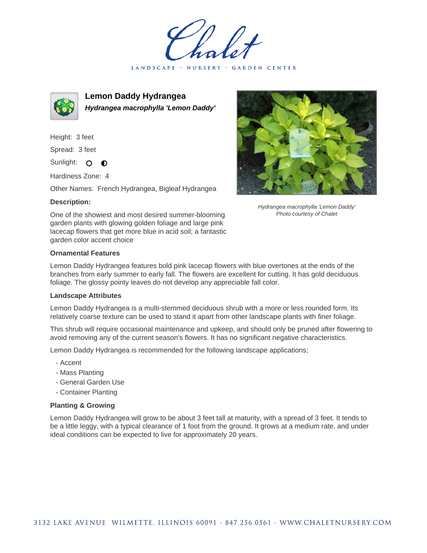LANDSCAPE · NURSERY · GARDEN CENTER



**Lemon Daddy Hydrangea Hydrangea macrophylla 'Lemon Daddy'**

Height: 3 feet Spread: 3 feet Sunlight: O  $\bullet$ 

Hardiness Zone: 4

Other Names: French Hydrangea, Bigleaf Hydrangea

## **Description:**



Hydrangea macrophylla 'Lemon Daddy' Photo courtesy of Chalet

One of the showiest and most desired summer-blooming garden plants with glowing golden foliage and large pink lacecap flowers that get more blue in acid soil; a fantastic garden color accent choice

## **Ornamental Features**

Lemon Daddy Hydrangea features bold pink lacecap flowers with blue overtones at the ends of the branches from early summer to early fall. The flowers are excellent for cutting. It has gold deciduous foliage. The glossy pointy leaves do not develop any appreciable fall color.

## **Landscape Attributes**

Lemon Daddy Hydrangea is a multi-stemmed deciduous shrub with a more or less rounded form. Its relatively coarse texture can be used to stand it apart from other landscape plants with finer foliage.

This shrub will require occasional maintenance and upkeep, and should only be pruned after flowering to avoid removing any of the current season's flowers. It has no significant negative characteristics.

Lemon Daddy Hydrangea is recommended for the following landscape applications;

- Accent
- Mass Planting
- General Garden Use
- Container Planting

## **Planting & Growing**

Lemon Daddy Hydrangea will grow to be about 3 feet tall at maturity, with a spread of 3 feet. It tends to be a little leggy, with a typical clearance of 1 foot from the ground. It grows at a medium rate, and under ideal conditions can be expected to live for approximately 20 years.